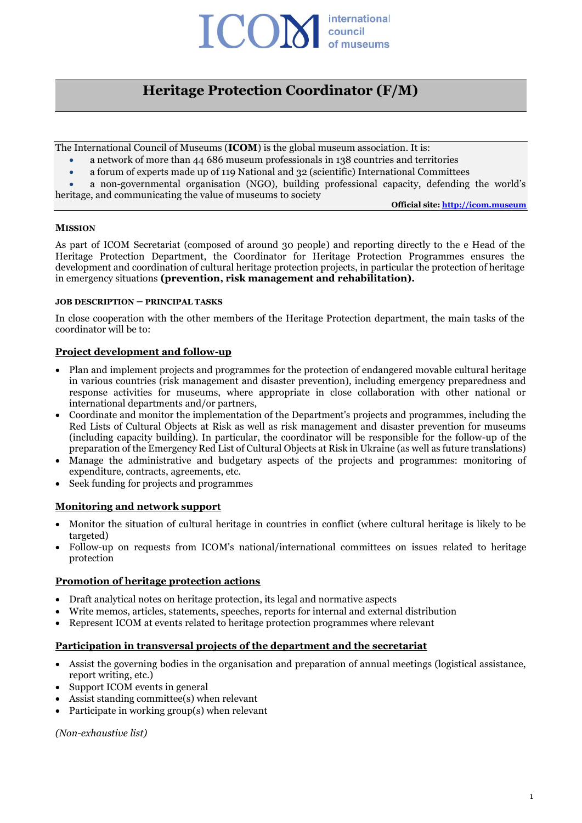

# **Heritage Protection Coordinator (F/M)**

The International Council of Museums (**ICOM**) is the global museum association. It is:

- a network of more than 44 686 museum professionals in 138 countries and territories
- a forum of experts made up of 119 National and 32 (scientific) International Committees
- a non-governmental organisation (NGO), building professional capacity, defending the world's heritage, and communicating the value of museums to society

**Official site: [http://icom.museum](http://icom.museum/)**

#### **MISSION**

As part of ICOM Secretariat (composed of around 30 people) and reporting directly to the e Head of the Heritage Protection Department, the Coordinator for Heritage Protection Programmes ensures the development and coordination of cultural heritage protection projects, in particular the protection of heritage in emergency situations **(prevention, risk management and rehabilitation).**

#### **JOB DESCRIPTION – PRINCIPAL TASKS**

In close cooperation with the other members of the Heritage Protection department, the main tasks of the coordinator will be to:

## **Project development and follow-up**

- Plan and implement projects and programmes for the protection of endangered movable cultural heritage in various countries (risk management and disaster prevention), including emergency preparedness and response activities for museums, where appropriate in close collaboration with other national or international departments and/or partners,
- Coordinate and monitor the implementation of the Department's projects and programmes, including the Red Lists of Cultural Objects at Risk as well as risk management and disaster prevention for museums (including capacity building). In particular, the coordinator will be responsible for the follow-up of the preparation of the Emergency Red List of Cultural Objects at Risk in Ukraine (as well as future translations)
- Manage the administrative and budgetary aspects of the projects and programmes: monitoring of expenditure, contracts, agreements, etc.
- Seek funding for projects and programmes

#### **Monitoring and network support**

- Monitor the situation of cultural heritage in countries in conflict (where cultural heritage is likely to be targeted)
- Follow-up on requests from ICOM's national/international committees on issues related to heritage protection

#### **Promotion of heritage protection actions**

- Draft analytical notes on heritage protection, its legal and normative aspects
- Write memos, articles, statements, speeches, reports for internal and external distribution
- Represent ICOM at events related to heritage protection programmes where relevant

## **Participation in transversal projects of the department and the secretariat**

- Assist the governing bodies in the organisation and preparation of annual meetings (logistical assistance, report writing, etc.)
- Support ICOM events in general
- Assist standing committee(s) when relevant
- Participate in working group(s) when relevant

*(Non-exhaustive list)*